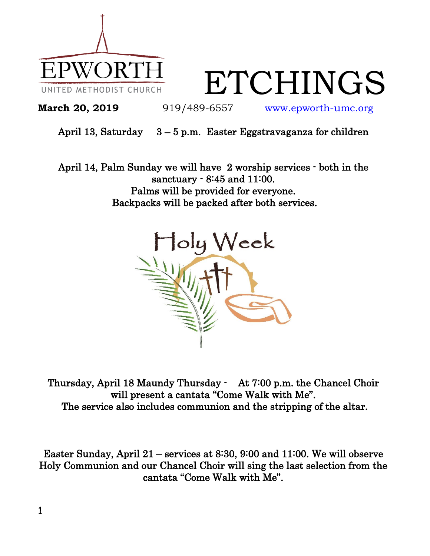

ETCHINGS

**March 20, 2019** 919/489-6557 [www.epworth-umc.org](http://www.epworth-umc.org/)

## April 13, Saturday  $3 - 5$  p.m. Easter Eggstravaganza for children

April 14, Palm Sunday we will have 2 worship services - both in the sanctuary - 8:45 and 11:00. Palms will be provided for everyone. Backpacks will be packed after both services.



Thursday, April 18 Maundy Thursday - At 7:00 p.m. the Chancel Choir will present a cantata "Come Walk with Me". The service also includes communion and the stripping of the altar.

Easter Sunday, April 21 – services at 8:30, 9:00 and 11:00. We will observe Holy Communion and our Chancel Choir will sing the last selection from the cantata "Come Walk with Me".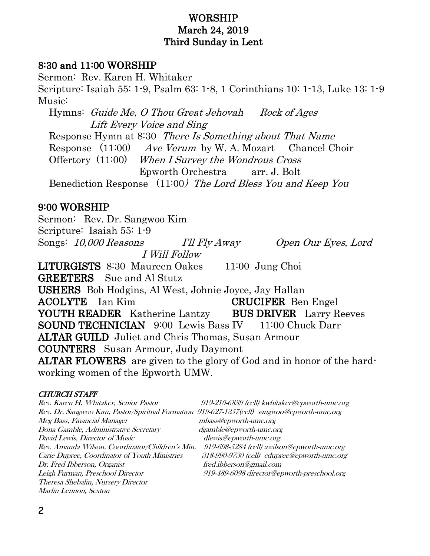## WORSHIP March 24, 2019 Third Sunday in Lent

### 8:30 and 11:00 WORSHIP

Sermon: Rev. Karen H. Whitaker Scripture: Isaiah 55: 1-9, Psalm 63: 1-8, 1 Corinthians 10: 1-13, Luke 13: 1-9 Music: Hymns: Guide Me, O Thou Great Jehovah Rock of Ages Lift Every Voice and Sing Response Hymn at 8:30 There Is Something about That Name Response (11:00) Ave Verum by W. A. Mozart Chancel Choir Offertory (11:00) When I Survey the Wondrous Cross Epworth Orchestra arr. J. Bolt

Benediction Response (11:00) The Lord Bless You and Keep You

#### 9:00 WORSHIP

Sermon: Rev. Dr. Sangwoo Kim Scripture: Isaiah 55: 1-9 Songs: 10,000 Reasons I'll Fly Away Open Our Eyes, Lord I Will Follow LITURGISTS 8:30 Maureen Oakes 11:00 Jung Choi GREETERS Sue and Al Stutz USHERS Bob Hodgins, Al West, Johnie Joyce, Jay Hallan ACOLYTE Ian Kim CRUCIFER Ben Engel YOUTH READER Katherine Lantzy BUS DRIVER Larry Reeves **SOUND TECHNICIAN** 9:00 Lewis Bass IV 11:00 Chuck Darr ALTAR GUILD Juliet and Chris Thomas, Susan Armour COUNTERS Susan Armour, Judy Daymont ALTAR FLOWERS are given to the glory of God and in honor of the hardworking women of the Epworth UMW.

#### CHURCH STAFF

| Rev. Karen H. Whitaker, Senior Pastor                                                       | 919-210-6839 (cell) kwhitaker@epworth-umc.org |
|---------------------------------------------------------------------------------------------|-----------------------------------------------|
| Rev. Dr. Sangwoo Kim, Pastor/Spiritual Formation 919-627-1357(cell) sangwoo@epworth-umc.org |                                               |
| Meg Bass, Financial Manager                                                                 | mbass@epworth-umc.org                         |
| Dona Gamble, Administrative Secretary                                                       | dgamble@epworth-umc.org                       |
| David Lewis, Director of Music                                                              | dlewis@epworth-umc.org                        |
| Rev. Amanda Wilson, Coordinator/Children's Min.                                             | 919-698-5284 (cell) awilson@epworth-umc.org   |
| Carie Dupree, Coordinator of Youth Ministries                                               | 318-990-9730 (cell) cdupree@epworth-umc.org   |
| Dr. Fred Ibberson, Organist                                                                 | fred.ibberson@gmail.com                       |
| Leigh Furman, Preschool Director                                                            | 919-489-6098 director@epworth-preschool.org   |
| Theresa Shebalin, Nursery Director                                                          |                                               |
| <i>Marlin Lennon, Sexton</i>                                                                |                                               |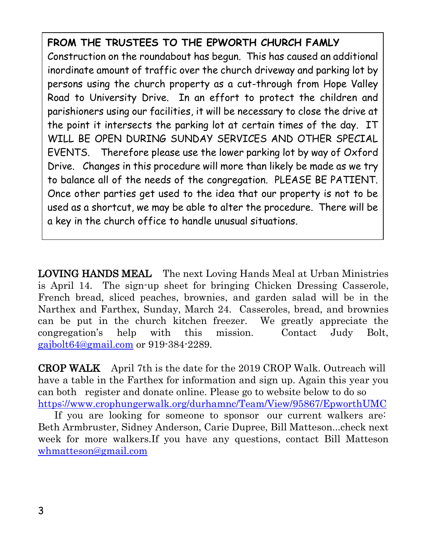# **FROM THE TRUSTEES TO THE EPWORTH CHURCH FAMLY**

Construction on the roundabout has begun. This has caused an additional inordinate amount of traffic over the church driveway and parking lot by persons using the church property as a cut-through from Hope Valley Road to University Drive. In an effort to protect the children and parishioners using our facilities, it will be necessary to close the drive at the point it intersects the parking lot at certain times of the day. IT WILL BE OPEN DURING SUNDAY SERVICES AND OTHER SPECIAL EVENTS. Therefore please use the lower parking lot by way of Oxford Drive. Changes in this procedure will more than likely be made as we try to balance all of the needs of the congregation. PLEASE BE PATIENT. Once other parties get used to the idea that our property is not to be used as a shortcut, we may be able to alter the procedure. There will be a key in the church office to handle unusual situations.

LOVING HANDS MEAL The next Loving Hands Meal at Urban Ministries is April 14. The sign-up sheet for bringing Chicken Dressing Casserole, French bread, sliced peaches, brownies, and garden salad will be in the Narthex and Farthex, Sunday, March 24. Casseroles, bread, and brownies can be put in the church kitchen freezer. We greatly appreciate the congregation's help with this mission. Contact Judy Bolt, [gajbolt64@gmail.com](mailto:gajbolt64@gmail.com) or 919-384-2289.

CROP WALK April 7th is the date for the 2019 CROP Walk. Outreach will have a table in the Farthex for information and sign up. Again this year you can both register and donate online. Please go to website below to do so <https://www.crophungerwalk.org/durhamnc/Team/View/95867/EpworthUMC>

 If you are looking for someone to sponsor our current walkers are: Beth Armbruster, Sidney Anderson, Carie Dupree, Bill Matteson...check next week for more walkers.If you have any questions, contact Bill Matteson [whmatteson@gmail.com](mailto:whmatteson@gmail.com)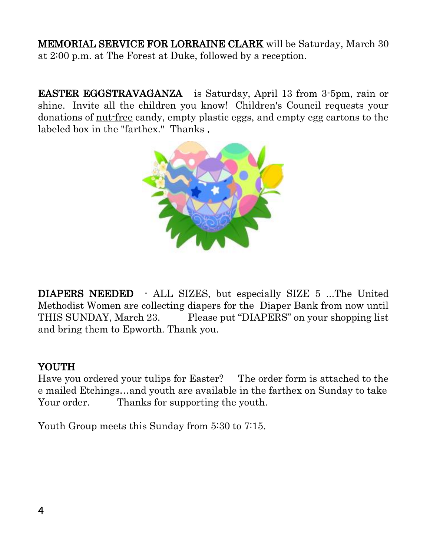MEMORIAL SERVICE FOR LORRAINE CLARK will be Saturday, March 30 at 2:00 p.m. at The Forest at Duke, followed by a reception.

EASTER EGGSTRAVAGANZA is Saturday, April 13 from 3-5pm, rain or shine. Invite all the children you know! Children's Council requests your donations of nut-free candy, empty plastic eggs, and empty egg cartons to the labeled box in the "farthex." Thanks .



DIAPERS NEEDED - ALL SIZES, but especially SIZE 5 …The United Methodist Women are collecting diapers for the Diaper Bank from now until THIS SUNDAY, March 23. Please put "DIAPERS" on your shopping list and bring them to Epworth. Thank you.

# YOUTH

Have you ordered your tulips for Easter? The order form is attached to the e mailed Etchings…and youth are available in the farthex on Sunday to take Your order. Thanks for supporting the youth.

Youth Group meets this Sunday from 5:30 to 7:15.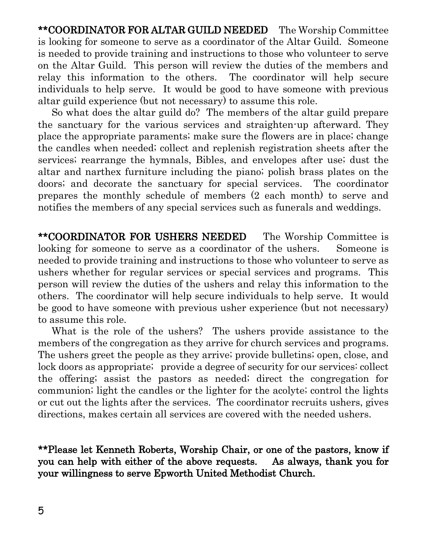\*\*COORDINATOR FOR ALTAR GUILD NEEDED The Worship Committee is looking for someone to serve as a coordinator of the Altar Guild. Someone is needed to provide training and instructions to those who volunteer to serve on the Altar Guild. This person will review the duties of the members and relay this information to the others. The coordinator will help secure individuals to help serve. It would be good to have someone with previous altar guild experience (but not necessary) to assume this role.

 So what does the altar guild do? The members of the altar guild prepare the sanctuary for the various services and straighten-up afterward. They place the appropriate paraments; make sure the flowers are in place; change the candles when needed; collect and replenish registration sheets after the services; rearrange the hymnals, Bibles, and envelopes after use; dust the altar and narthex furniture including the piano; polish brass plates on the doors; and decorate the sanctuary for special services. The coordinator prepares the monthly schedule of members (2 each month) to serve and notifies the members of any special services such as funerals and weddings.

\*\*COORDINATOR FOR USHERS NEEDED The Worship Committee is looking for someone to serve as a coordinator of the ushers. Someone is needed to provide training and instructions to those who volunteer to serve as ushers whether for regular services or special services and programs. This person will review the duties of the ushers and relay this information to the others. The coordinator will help secure individuals to help serve. It would be good to have someone with previous usher experience (but not necessary) to assume this role.

 What is the role of the ushers? The ushers provide assistance to the members of the congregation as they arrive for church services and programs. The ushers greet the people as they arrive; provide bulletins; open, close, and lock doors as appropriate; provide a degree of security for our services: collect the offering; assist the pastors as needed; direct the congregation for communion; light the candles or the lighter for the acolyte; control the lights or cut out the lights after the services. The coordinator recruits ushers, gives directions, makes certain all services are covered with the needed ushers.

\*\*Please let Kenneth Roberts, Worship Chair, or one of the pastors, know if you can help with either of the above requests. As always, thank you for your willingness to serve Epworth United Methodist Church.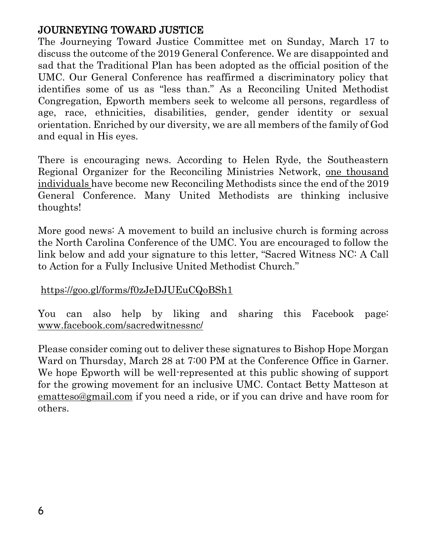# JOURNEYING TOWARD JUSTICE

The Journeying Toward Justice Committee met on Sunday, March 17 to discuss the outcome of the 2019 General Conference. We are disappointed and sad that the Traditional Plan has been adopted as the official position of the UMC. Our General Conference has reaffirmed a discriminatory policy that identifies some of us as "less than." As a Reconciling United Methodist Congregation, Epworth members seek to welcome all persons, regardless of age, race, ethnicities, disabilities, gender, gender identity or sexual orientation. Enriched by our diversity, we are all members of the family of God and equal in His eyes.

There is encouraging news. According to Helen Ryde, the Southeastern Regional Organizer for the Reconciling Ministries Network, one thousand individuals have become new Reconciling Methodists since the end of the 2019 General Conference. Many United Methodists are thinking inclusive thoughts!

More good news: A movement to build an inclusive church is forming across the North Carolina Conference of the UMC. You are encouraged to follow the link below and add your signature to this letter, "Sacred Witness NC: A Call to Action for a Fully Inclusive United Methodist Church."

## <https://goo.gl/forms/f0zJeDJUEuCQoBSh1>

You can also help by liking and sharing this Facebook page: [www.facebook.com/sacredwitnessnc/](http://www.facebook.com/sacredwitnessnc/)

Please consider coming out to deliver these signatures to Bishop Hope Morgan Ward on Thursday, March 28 at 7:00 PM at the Conference Office in Garner. We hope Epworth will be well-represented at this public showing of support for the growing movement for an inclusive UMC. Contact Betty Matteson at [ematteso@gmail.com](mailto:ematteso@gmail.com) if you need a ride, or if you can drive and have room for others.